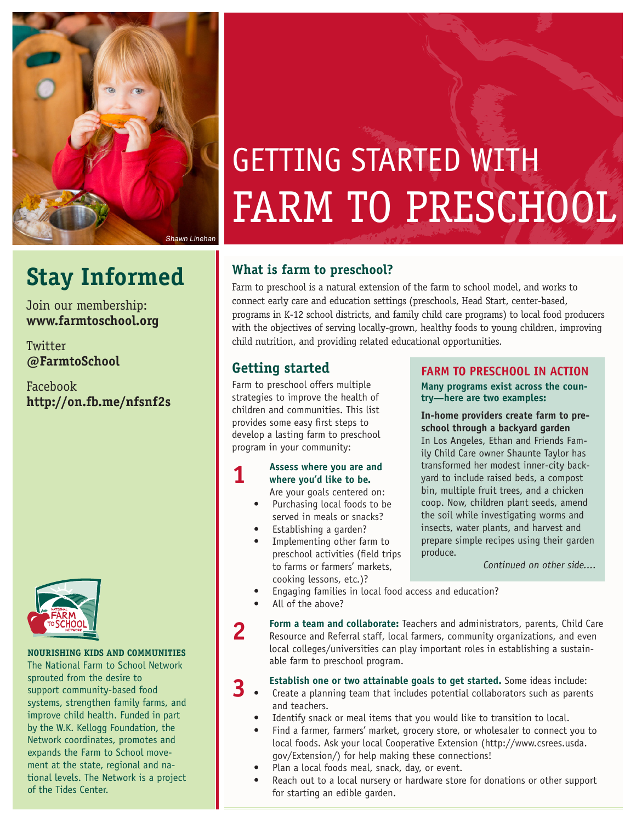

## **Stay Informed**

Join our membership: **www.farmtoschool.org**

Twitter **@FarmtoSchool**

Facebook **http://on.fb.me/nfsnf2s**



#### **NOURISHING KIDS AND COMMUNITIES**

The National Farm to School Network sprouted from the desire to support community-based food systems, strengthen family farms, and improve child health. Funded in part by the W.K. Kellogg Foundation, the Network coordinates, promotes and expands the Farm to School movement at the state, regional and national levels. The Network is a project of the Tides Center.

# GETTING STARTED WITH FARM TO PRESCHOOL

### **What is farm to preschool?**

Farm to preschool is a natural extension of the farm to school model, and works to connect early care and education settings (preschools, Head Start, center-based, programs in K-12 school districts, and family child care programs) to local food producers with the objectives of serving locally-grown, healthy foods to young children, improving child nutrition, and providing related educational opportunities.

### **Getting started**

Farm to preschool offers multiple strategies to improve the health of children and communities. This list provides some easy first steps to develop a lasting farm to preschool program in your community:

#### **1 Assess where you are and 1** *where you'd like to be* **where you'd like to be.** Are your goals centered on:

- Purchasing local foods to be served in meals or snacks?
- Establishing a garden?
- Implementing other farm to preschool activities (field trips to farms or farmers' markets, cooking lessons, etc.)?

#### **FARM TO PRESCHOOL IN ACTION**

**Many programs exist across the country—here are two examples:**

**In-home providers create farm to preschool through a backyard garden** In Los Angeles, Ethan and Friends Family Child Care owner Shaunte Taylor has transformed her modest inner-city backyard to include raised beds, a compost bin, multiple fruit trees, and a chicken coop. Now, children plant seeds, amend the soil while investigating worms and insects, water plants, and harvest and prepare simple recipes using their garden produce.

Continued on other side....

- Engaging families in local food access and education?
- All of the above?

**2 Form a team and collaborate:** Teachers and administrators, parents, Child Care Resource and Referral staff, local farmers, community organizations, and even local colleges/universities can play important roles in establishing a sustainable farm to preschool program.

- **3 Establish one or two attainable goals to get started.** Some ideas include:<br>**3 •** Create a planning team that includes potential collaborators such as parents and teachers.
	- Identify snack or meal items that you would like to transition to local.
	- Find a farmer, farmers' market, grocery store, or wholesaler to connect you to local foods. Ask your local Cooperative Extension (http://www.csrees.usda. gov/Extension/) for help making these connections!
	- Plan a local foods meal, snack, day, or event.
	- Reach out to a local nursery or hardware store for donations or other support for starting an edible garden.